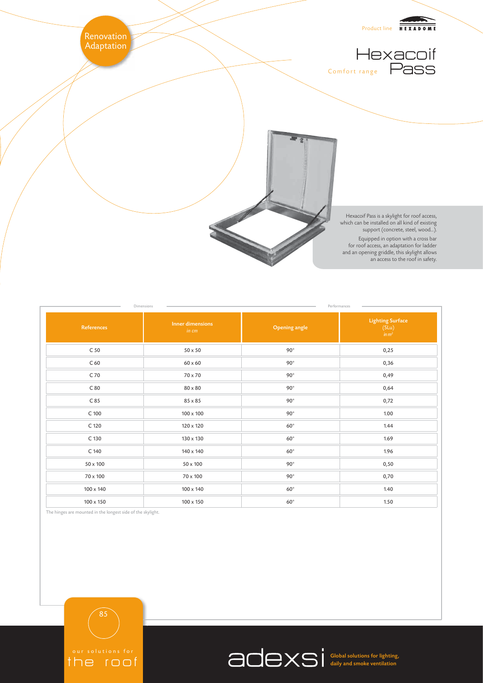

| Dimensions<br>Performances |                                  |                      |                                               |
|----------------------------|----------------------------------|----------------------|-----------------------------------------------|
| <b>References</b>          | <b>Inner dimensions</b><br>in cm | <b>Opening angle</b> | <b>Lighting Surface</b><br>$(SLu)$<br>$in m2$ |
| C <sub>50</sub>            | $50 \times 50$                   | $90^\circ$           | 0,25                                          |
| C <sub>60</sub>            | $60 \times 60$                   | $90^\circ$           | 0,36                                          |
| C 70                       | 70 x 70                          | $90^\circ$           | 0,49                                          |
| C80                        | 80 x 80                          | $90^\circ$           | 0,64                                          |
| C85                        | 85 x 85                          | $90^\circ$           | 0,72                                          |
| $C$ 100                    | $100\times100$                   | $90^\circ$           | 1.00                                          |
| C 120                      | 120 x 120                        | $60^{\circ}$         | 1.44                                          |
| C 130                      | 130 x 130                        | $60^{\circ}$         | 1.69                                          |
| C 140                      | 140 x 140                        | $60^{\circ}$         | 1.96                                          |
| $50 \times 100$            | $50 \times 100$                  | $90^\circ$           | 0,50                                          |
| 70 x 100                   | 70 x 100                         | $90^\circ$           | 0,70                                          |
| 100 x 140                  | 100 x 140                        | $60^{\circ}$         | 1.40                                          |
| 100 x 150                  | 100 x 150                        | $60^{\circ}$         | 1.50                                          |

The hinges are mounted in the longest side of the skylight.

the roof

85



Global solutions for lighting, daily and smoke ventilation